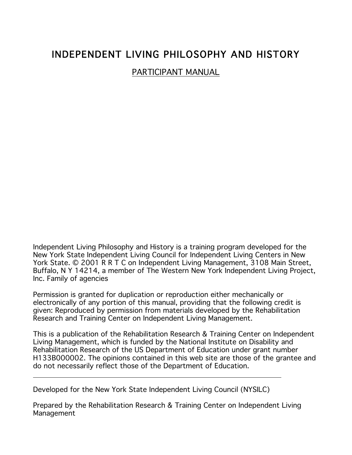# INDEPENDENT LIVING PHILOSOPHY AND HISTORY

PARTICIPANT MANUAL

Independent Living Philosophy and History is a training program developed for the New York State Independent Living Council for Independent Living Centers in New York State. © 2001 R R T C on Independent Living Management, 3108 Main Street, Buffalo, N Y 14214, a member of The Western New York Independent Living Project, Inc. Family of agencies

Permission is granted for duplication or reproduction either mechanically or electronically of any portion of this manual, providing that the following credit is given: Reproduced by permission from materials developed by the Rehabilitation Research and Training Center on Independent Living Management.

This is a publication of the Rehabilitation Research & Training Center on Independent Living Management, which is funded by the National Institute on Disability and Rehabilitation Research of the US Department of Education under grant number H133B000002. The opinions contained in this web site are those of the grantee and do not necessarily reflect those of the Department of Education.

Developed for the New York State Independent Living Council (NYSILC)

Prepared by the Rehabilitation Research & Training Center on Independent Living Management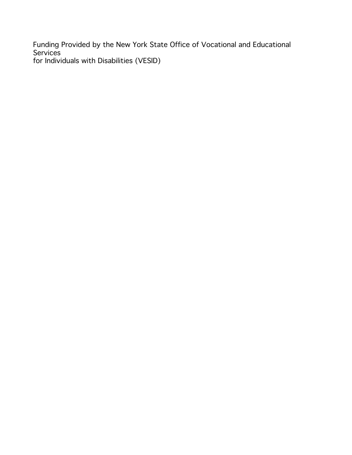Funding Provided by the New York State Office of Vocational and Educational Services for Individuals with Disabilities (VESID)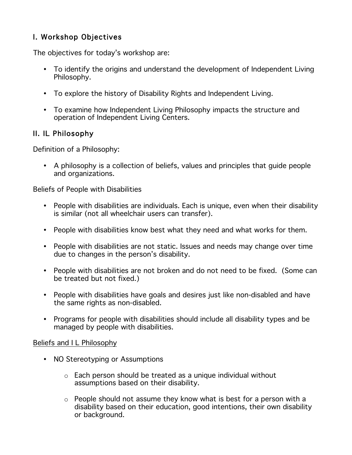# I. Workshop Objectives

The objectives for today's workshop are:

- To identify the origins and understand the development of Independent Living Philosophy.
- To explore the history of Disability Rights and Independent Living.
- To examine how Independent Living Philosophy impacts the structure and operation of Independent Living Centers.

## II. IL Philosophy

Definition of a Philosophy:

• A philosophy is a collection of beliefs, values and principles that guide people and organizations.

Beliefs of People with Disabilities

- People with disabilities are individuals. Each is unique, even when their disability is similar (not all wheelchair users can transfer).
- People with disabilities know best what they need and what works for them.
- People with disabilities are not static. Issues and needs may change over time due to changes in the person's disability.
- People with disabilities are not broken and do not need to be fixed. (Some can be treated but not fixed.)
- People with disabilities have goals and desires just like non-disabled and have the same rights as non-disabled.
- Programs for people with disabilities should include all disability types and be managed by people with disabilities.

#### Beliefs and I L Philosophy

- NO Stereotyping or Assumptions
	- $\circ$  Each person should be treated as a unique individual without assumptions based on their disability.
	- o People should not assume they know what is best for a person with a disability based on their education, good intentions, their own disability or background.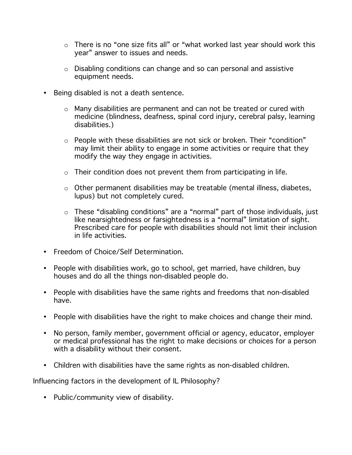- o There is no "one size fits all" or "what worked last year should work this year" answer to issues and needs.
- o Disabling conditions can change and so can personal and assistive equipment needs.
- Being disabled is not a death sentence.
	- o Many disabilities are permanent and can not be treated or cured with medicine (blindness, deafness, spinal cord injury, cerebral palsy, learning disabilities.)
	- $\circ$  People with these disabilities are not sick or broken. Their "condition" may limit their ability to engage in some activities or require that they modify the way they engage in activities.
	- $\circ$  Their condition does not prevent them from participating in life.
	- o Other permanent disabilities may be treatable (mental illness, diabetes, lupus) but not completely cured.
	- o These "disabling conditions" are a "normal" part of those individuals, just like nearsightedness or farsightedness is a "normal" limitation of sight. Prescribed care for people with disabilities should not limit their inclusion in life activities.
- Freedom of Choice/Self Determination.
- People with disabilities work, go to school, get married, have children, buy houses and do all the things non-disabled people do.
- People with disabilities have the same rights and freedoms that non-disabled have.
- People with disabilities have the right to make choices and change their mind.
- No person, family member, government official or agency, educator, employer or medical professional has the right to make decisions or choices for a person with a disability without their consent.
- Children with disabilities have the same rights as non-disabled children.

Influencing factors in the development of IL Philosophy?

• Public/community view of disability.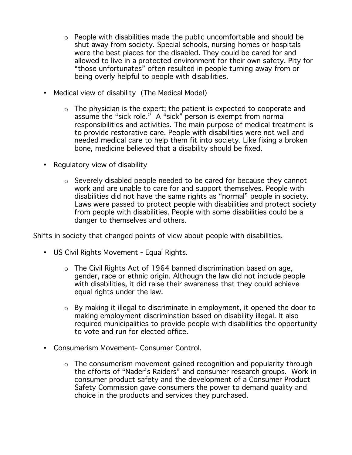- $\circ$  People with disabilities made the public uncomfortable and should be shut away from society. Special schools, nursing homes or hospitals were the best places for the disabled. They could be cared for and allowed to live in a protected environment for their own safety. Pity for "those unfortunates" often resulted in people turning away from or being overly helpful to people with disabilities.
- Medical view of disability (The Medical Model)
	- $\circ$  The physician is the expert; the patient is expected to cooperate and assume the "sick role." A "sick" person is exempt from normal responsibilities and activities. The main purpose of medical treatment is to provide restorative care. People with disabilities were not well and needed medical care to help them fit into society. Like fixing a broken bone, medicine believed that a disability should be fixed.
- Regulatory view of disability
	- o Severely disabled people needed to be cared for because they cannot work and are unable to care for and support themselves. People with disabilities did not have the same rights as "normal" people in society. Laws were passed to protect people with disabilities and protect society from people with disabilities. People with some disabilities could be a danger to themselves and others.

Shifts in society that changed points of view about people with disabilities.

- US Civil Rights Movement Equal Rights.
	- o The Civil Rights Act of 1964 banned discrimination based on age, gender, race or ethnic origin. Although the law did not include people with disabilities, it did raise their awareness that they could achieve equal rights under the law.
	- o By making it illegal to discriminate in employment, it opened the door to making employment discrimination based on disability illegal. It also required municipalities to provide people with disabilities the opportunity to vote and run for elected office.
- Consumerism Movement- Consumer Control.
	- o The consumerism movement gained recognition and popularity through the efforts of "Nader's Raiders" and consumer research groups. Work in consumer product safety and the development of a Consumer Product Safety Commission gave consumers the power to demand quality and choice in the products and services they purchased.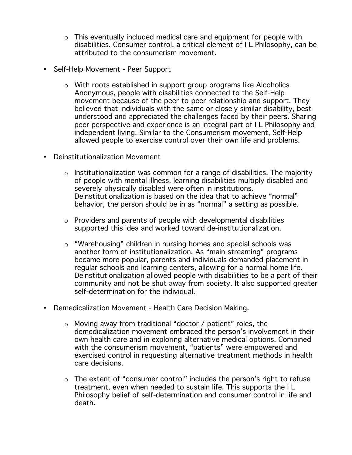- $\circ$  This eventually included medical care and equipment for people with disabilities. Consumer control, a critical element of I L Philosophy, can be attributed to the consumerism movement.
- Self-Help Movement Peer Support
	- o With roots established in support group programs like Alcoholics Anonymous, people with disabilities connected to the Self-Help movement because of the peer-to-peer relationship and support. They believed that individuals with the same or closely similar disability, best understood and appreciated the challenges faced by their peers. Sharing peer perspective and experience is an integral part of I L Philosophy and independent living. Similar to the Consumerism movement, Self-Help allowed people to exercise control over their own life and problems.
- Deinstitutionalization Movement
	- $\circ$  Institutionalization was common for a range of disabilities. The majority of people with mental illness, learning disabilities multiply disabled and severely physically disabled were often in institutions. Deinstitutionalization is based on the idea that to achieve "normal" behavior, the person should be in as "normal" a setting as possible.
	- $\circ$  Providers and parents of people with developmental disabilities supported this idea and worked toward de-institutionalization.
	- o "Warehousing" children in nursing homes and special schools was another form of institutionalization. As "main-streaming" programs became more popular, parents and individuals demanded placement in regular schools and learning centers, allowing for a normal home life. Deinstitutionalization allowed people with disabilities to be a part of their community and not be shut away from society. It also supported greater self-determination for the individual.
- Demedicalization Movement Health Care Decision Making.
	- o Moving away from traditional "doctor / patient" roles, the demedicalization movement embraced the person's involvement in their own health care and in exploring alternative medical options. Combined with the consumerism movement, "patients" were empowered and exercised control in requesting alternative treatment methods in health care decisions.
	- $\circ$  The extent of "consumer control" includes the person's right to refuse treatment, even when needed to sustain life. This supports the I L Philosophy belief of self-determination and consumer control in life and death.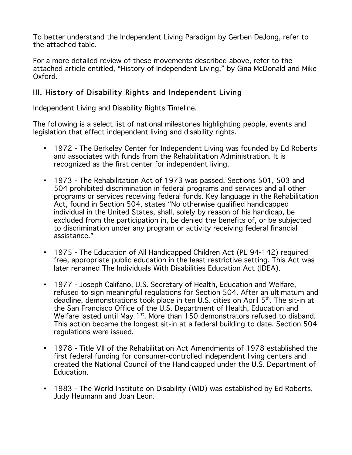To better understand the Independent Living Paradigm by Gerben DeJong, refer to the attached table.

For a more detailed review of these movements described above, refer to the attached article entitled, "History of Independent Living," by Gina McDonald and Mike Oxford.

# III. History of Disability Rights and Independent Living

Independent Living and Disability Rights Timeline.

The following is a select list of national milestones highlighting people, events and legislation that effect independent living and disability rights.

- 1972 The Berkeley Center for Independent Living was founded by Ed Roberts and associates with funds from the Rehabilitation Administration. It is recognized as the first center for independent living.
- 1973 The Rehabilitation Act of 1973 was passed. Sections 501, 503 and 504 prohibited discrimination in federal programs and services and all other programs or services receiving federal funds. Key language in the Rehabilitation Act, found in Section 504, states "No otherwise qualified handicapped individual in the United States, shall, solely by reason of his handicap, be excluded from the participation in, be denied the benefits of, or be subjected to discrimination under any program or activity receiving federal financial assistance."
- 1975 The Education of All Handicapped Children Act (PL 94-142) required free, appropriate public education in the least restrictive setting. This Act was later renamed The Individuals With Disabilities Education Act (IDEA).
- 1977 Joseph Califano, U.S. Secretary of Health, Education and Welfare, refused to sign meaningful regulations for Section 504. After an ultimatum and deadline, demonstrations took place in ten U.S. cities on April 5th. The sit-in at the San Francisco Office of the U.S. Department of Health, Education and Welfare lasted until May  $1<sup>st</sup>$ . More than 150 demonstrators refused to disband. This action became the longest sit-in at a federal building to date. Section 504 regulations were issued.
- 1978 Title VII of the Rehabilitation Act Amendments of 1978 established the first federal funding for consumer-controlled independent living centers and created the National Council of the Handicapped under the U.S. Department of Education.
- 1983 The World Institute on Disability (WID) was established by Ed Roberts, Judy Heumann and Joan Leon.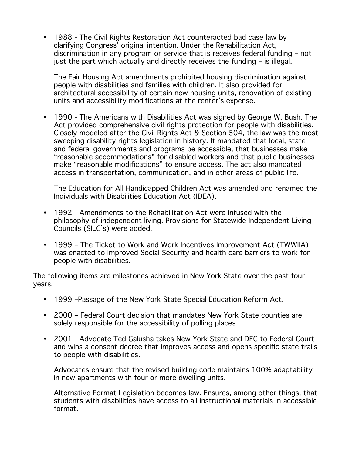• 1988 - The Civil Rights Restoration Act counteracted bad case law by clarifying Congress' original intention. Under the Rehabilitation Act, discrimination in any program or service that is receives federal funding – not just the part which actually and directly receives the funding – is illegal.

The Fair Housing Act amendments prohibited housing discrimination against people with disabilities and families with children. It also provided for architectural accessibility of certain new housing units, renovation of existing units and accessibility modifications at the renter's expense.

• 1990 - The Americans with Disabilities Act was signed by George W. Bush. The Act provided comprehensive civil rights protection for people with disabilities. Closely modeled after the Civil Rights Act & Section 504, the law was the most sweeping disability rights legislation in history. It mandated that local, state and federal governments and programs be accessible, that businesses make "reasonable accommodations" for disabled workers and that public businesses make "reasonable modifications" to ensure access. The act also mandated access in transportation, communication, and in other areas of public life.

The Education for All Handicapped Children Act was amended and renamed the Individuals with Disabilities Education Act (IDEA).

- 1992 Amendments to the Rehabilitation Act were infused with the philosophy of independent living. Provisions for Statewide Independent Living Councils (SILC's) were added.
- 1999 The Ticket to Work and Work Incentives Improvement Act (TWWIIA) was enacted to improved Social Security and health care barriers to work for people with disabilities.

The following items are milestones achieved in New York State over the past four years.

- 1999 –Passage of the New York State Special Education Reform Act.
- 2000 Federal Court decision that mandates New York State counties are solely responsible for the accessibility of polling places.
- 2001 Advocate Ted Galusha takes New York State and DEC to Federal Court and wins a consent decree that improves access and opens specific state trails to people with disabilities.

Advocates ensure that the revised building code maintains 100% adaptability in new apartments with four or more dwelling units.

Alternative Format Legislation becomes law. Ensures, among other things, that students with disabilities have access to all instructional materials in accessible format.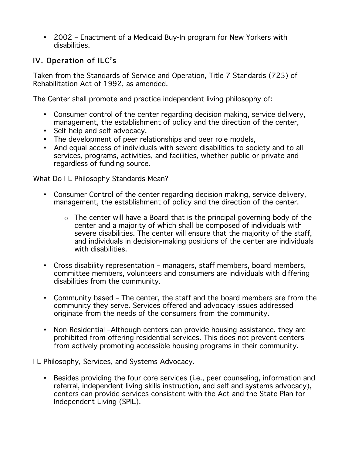• 2002 – Enactment of a Medicaid Buy-In program for New Yorkers with disabilities.

# IV. Operation of ILC's

Taken from the Standards of Service and Operation, Title 7 Standards (725) of Rehabilitation Act of 1992, as amended.

The Center shall promote and practice independent living philosophy of:

- Consumer control of the center regarding decision making, service delivery, management, the establishment of policy and the direction of the center,
- Self-help and self-advocacy,
- The development of peer relationships and peer role models,
- And equal access of individuals with severe disabilities to society and to all services, programs, activities, and facilities, whether public or private and regardless of funding source.

What Do I L Philosophy Standards Mean?

- Consumer Control of the center regarding decision making, service delivery, management, the establishment of policy and the direction of the center.
	- $\circ$  The center will have a Board that is the principal governing body of the center and a majority of which shall be composed of individuals with severe disabilities. The center will ensure that the majority of the staff, and individuals in decision-making positions of the center are individuals with disabilities.
- Cross disability representation managers, staff members, board members, committee members, volunteers and consumers are individuals with differing disabilities from the community.
- Community based The center, the staff and the board members are from the community they serve. Services offered and advocacy issues addressed originate from the needs of the consumers from the community.
- Non-Residential –Although centers can provide housing assistance, they are prohibited from offering residential services. This does not prevent centers from actively promoting accessible housing programs in their community.

I L Philosophy, Services, and Systems Advocacy.

• Besides providing the four core services (i.e., peer counseling, information and referral, independent living skills instruction, and self and systems advocacy), centers can provide services consistent with the Act and the State Plan for Independent Living (SPIL).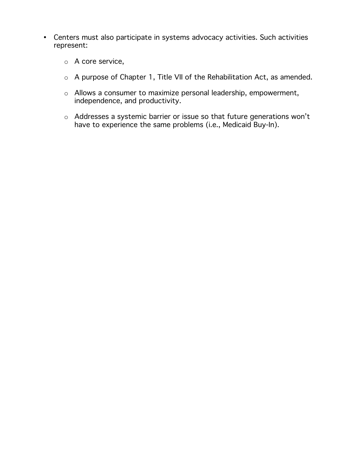- Centers must also participate in systems advocacy activities. Such activities represent:
	- o A core service,
	- o A purpose of Chapter 1, Title VII of the Rehabilitation Act, as amended.
	- o Allows a consumer to maximize personal leadership, empowerment, independence, and productivity.
	- o Addresses a systemic barrier or issue so that future generations won't have to experience the same problems (i.e., Medicaid Buy-In).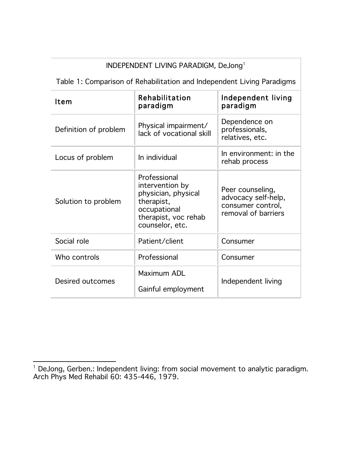| INDEPENDENT LIVING PARADIGM, DeJong <sup>1</sup>                       |                                                                                                                                 |                                                                                     |
|------------------------------------------------------------------------|---------------------------------------------------------------------------------------------------------------------------------|-------------------------------------------------------------------------------------|
| Table 1: Comparison of Rehabilitation and Independent Living Paradigms |                                                                                                                                 |                                                                                     |
| Item                                                                   | Rehabilitation<br>paradigm                                                                                                      | Independent living<br>paradigm                                                      |
| Definition of problem                                                  | Physical impairment/<br>lack of vocational skill                                                                                | Dependence on<br>professionals,<br>relatives, etc.                                  |
| Locus of problem                                                       | In individual                                                                                                                   | In environment: in the<br>rehab process                                             |
| Solution to problem                                                    | Professional<br>intervention by<br>physician, physical<br>therapist,<br>occupational<br>therapist, voc rehab<br>counselor, etc. | Peer counseling,<br>advocacy self-help,<br>consumer control,<br>removal of barriers |
| Social role                                                            | Patient/client                                                                                                                  | Consumer                                                                            |
| Who controls                                                           | Professional                                                                                                                    | Consumer                                                                            |
| Desired outcomes                                                       | Maximum ADL<br>Gainful employment                                                                                               | Independent living                                                                  |

 $\overline{a}$ <sup>1</sup> DeJong, Gerben.: Independent living: from social movement to analytic paradigm. Arch Phys Med Rehabil 60: 435-446, 1979.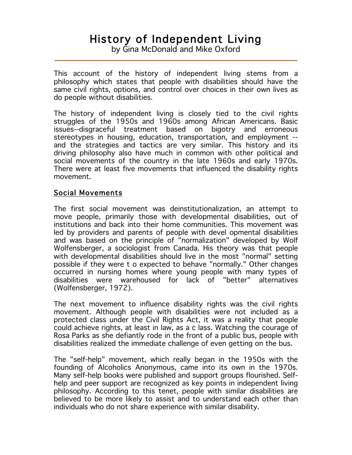# History of Independent Living

by Gina McDonald and Mike Oxford

This account of the history of independent living stems from a philosophy which states that people with disabilities should have the same civil rights, options, and control over choices in their own lives as do people without disabilities.

The history of independent living is closely tied to the civil rights struggles of the 1950s and 1960s among African Americans. Basic issues--disgraceful treatment based on bigotry and erroneous stereotypes in housing, education, transportation, and employment - and the strategies and tactics are very similar. This history and its driving philosophy also have much in common with other political and social movements of the country in the late 1960s and early 1970s. There were at least five movements that influenced the disability rights movement.

#### Social Movements

The first social movement was deinstitutionalization, an attempt to move people, primarily those with developmental disabilities, out of institutions and back into their home communities. This movement was led by providers and parents of people with devel opmental disabilities and was based on the principle of "normalization" developed by Wolf Wolfensberger, a sociologist from Canada. His theory was that people with developmental disabilities should live in the most "normal" setting possible if they were t o expected to behave "normally." Other changes occurred in nursing homes where young people with many types of disabilities were warehoused for lack of "better" alternatives (Wolfensberger, 1972).

The next movement to influence disability rights was the civil rights movement. Although people with disabilities were not included as a protected class under the Civil Rights Act, it was a reality that people could achieve rights, at least in law, as a c lass. Watching the courage of Rosa Parks as she defiantly rode in the front of a public bus, people with disabilities realized the immediate challenge of even getting on the bus.

The "self-help" movement, which really began in the 1950s with the founding of Alcoholics Anonymous, came into its own in the 1970s. Many self-help books were published and support groups flourished. Selfhelp and peer support are recognized as key points in independent living philosophy. According to this tenet, people with similar disabilities are believed to be more likely to assist and to understand each other than individuals who do not share experience with similar disability.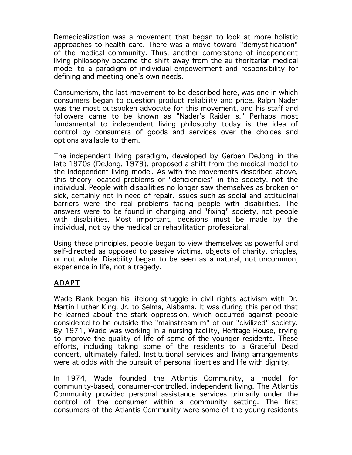Demedicalization was a movement that began to look at more holistic approaches to health care. There was a move toward "demystification" of the medical community. Thus, another cornerstone of independent living philosophy became the shift away from the au thoritarian medical model to a paradigm of individual empowerment and responsibility for defining and meeting one's own needs.

Consumerism, the last movement to be described here, was one in which consumers began to question product reliability and price. Ralph Nader was the most outspoken advocate for this movement, and his staff and followers came to be known as "Nader's Raider s." Perhaps most fundamental to independent living philosophy today is the idea of control by consumers of goods and services over the choices and options available to them.

The independent living paradigm, developed by Gerben DeJong in the late 1970s (DeJong, 1979), proposed a shift from the medical model to the independent living model. As with the movements described above, this theory located problems or "deficiencies" in the society, not the individual. People with disabilities no longer saw themselves as broken or sick, certainly not in need of repair. Issues such as social and attitudinal barriers were the real problems facing people with disabilities. The answers were to be found in changing and "fixing" society, not people with disabilities. Most important, decisions must be made by the individual, not by the medical or rehabilitation professional.

Using these principles, people began to view themselves as powerful and self-directed as opposed to passive victims, objects of charity, cripples, or not whole. Disability began to be seen as a natural, not uncommon, experience in life, not a tragedy.

# ADAPT

Wade Blank began his lifelong struggle in civil rights activism with Dr. Martin Luther King, Jr. to Selma, Alabama. It was during this period that he learned about the stark oppression, which occurred against people considered to be outside the "mainstream m" of our "civilized" society. By 1971, Wade was working in a nursing facility, Heritage House, trying to improve the quality of life of some of the younger residents. These efforts, including taking some of the residents to a Grateful Dead concert, ultimately failed. Institutional services and living arrangements were at odds with the pursuit of personal liberties and life with dignity.

In 1974, Wade founded the Atlantis Community, a model for community-based, consumer-controlled, independent living. The Atlantis Community provided personal assistance services primarily under the control of the consumer within a community setting. The first consumers of the Atlantis Community were some of the young residents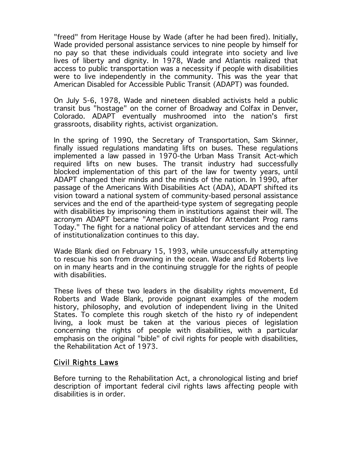"freed" from Heritage House by Wade (after he had been fired). Initially, Wade provided personal assistance services to nine people by himself for no pay so that these individuals could integrate into society and live lives of liberty and dignity. In 1978, Wade and Atlantis realized that access to public transportation was a necessity if people with disabilities were to live independently in the community. This was the year that American Disabled for Accessible Public Transit (ADAPT) was founded.

On July 5-6, 1978, Wade and nineteen disabled activists held a public transit bus "hostage" on the corner of Broadway and Colfax in Denver, Colorado. ADAPT eventually mushroomed into the nation's first grassroots, disability rights, activist organization.

In the spring of 1990, the Secretary of Transportation, Sam Skinner, finally issued regulations mandating lifts on buses. These regulations implemented a law passed in 1970-the Urban Mass Transit Act-which required lifts on new buses. The transit industry had successfully blocked implementation of this part of the law for twenty years, until ADAPT changed their minds and the minds of the nation. In 1990, after passage of the Americans With Disabilities Act (ADA), ADAPT shifted its vision toward a national system of community-based personal assistance services and the end of the apartheid-type system of segregating people with disabilities by imprisoning them in institutions against their will. The acronym ADAPT became "American Disabled for Attendant Prog rams Today." The fight for a national policy of attendant services and the end of institutionalization continues to this day.

Wade Blank died on February 15, 1993, while unsuccessfully attempting to rescue his son from drowning in the ocean. Wade and Ed Roberts live on in many hearts and in the continuing struggle for the rights of people with disabilities.

These lives of these two leaders in the disability rights movement, Ed Roberts and Wade Blank, provide poignant examples of the modem history, philosophy, and evolution of independent living in the United States. To complete this rough sketch of the histo ry of independent living, a look must be taken at the various pieces of legislation concerning the rights of people with disabilities, with a particular emphasis on the original "bible" of civil rights for people with disabilities, the Rehabilitation Act of 1973.

#### Civil Rights Laws

Before turning to the Rehabilitation Act, a chronological listing and brief description of important federal civil rights laws affecting people with disabilities is in order.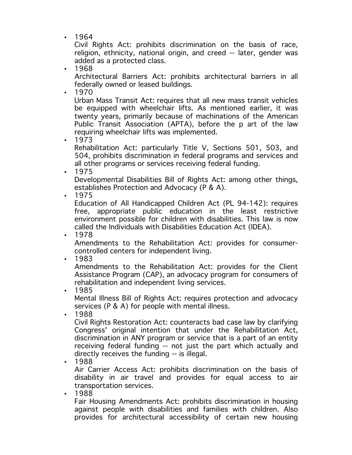• 1964

Civil Rights Act: prohibits discrimination on the basis of race, religion, ethnicity, national origin, and creed -- later, gender was added as a protected class.

• 1968

Architectural Barriers Act: prohibits architectural barriers in all federally owned or leased buildings.

• 1970

Urban Mass Transit Act: requires that all new mass transit vehicles be equipped with wheelchair lifts. As mentioned earlier, it was twenty years, primarily because of machinations of the American Public Transit Association (APTA), before the p art of the law requiring wheelchair lifts was implemented.

• 1973

Rehabilitation Act: particularly Title V, Sections 501, 503, and 504, prohibits discrimination in federal programs and services and all other programs or services receiving federal funding.

• 1975

Developmental Disabilities Bill of Rights Act: among other things, establishes Protection and Advocacy (P & A).

• 1975

Education of All Handicapped Children Act (PL 94-142): requires free, appropriate public education in the least restrictive environment possible for children with disabilities. This law is now called the Individuals with Disabilities Education Act (IDEA).

• 1978

Amendments to the Rehabilitation Act: provides for consumercontrolled centers for independent living.

• 1983

Amendments to the Rehabilitation Act: provides for the Client Assistance Program (CAP), an advocacy program for consumers of rehabilitation and independent living services.

• 1985

Mental Illness Bill of Rights Act: requires protection and advocacy services (P & A) for people with mental illness.

• 1988

Civil Rights Restoration Act: counteracts bad case law by clarifying Congress' original intention that under the Rehabilitation Act, discrimination in ANY program or service that is a part of an entity receiving federal funding -- not just the part which actually and directly receives the funding -- is illegal.

• 1988

Air Carrier Access Act: prohibits discrimination on the basis of disability in air travel and provides for equal access to air transportation services.

• 1988

Fair Housing Amendments Act: prohibits discrimination in housing against people with disabilities and families with children. Also provides for architectural accessibility of certain new housing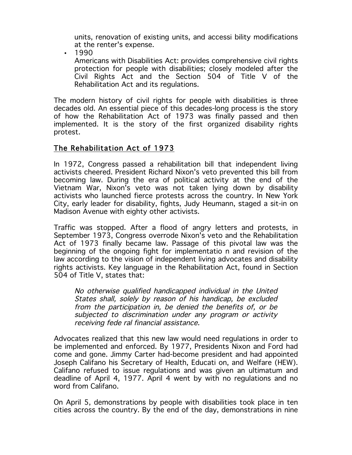units, renovation of existing units, and accessi bility modifications at the renter's expense.

• 1990

Americans with Disabilities Act: provides comprehensive civil rights protection for people with disabilities; closely modeled after the Civil Rights Act and the Section 504 of Title V of the Rehabilitation Act and its regulations.

The modern history of civil rights for people with disabilities is three decades old. An essential piece of this decades-long process is the story of how the Rehabilitation Act of 1973 was finally passed and then implemented. It is the story of the first organized disability rights protest.

#### The Rehabilitation Act of 1973

In 1972, Congress passed a rehabilitation bill that independent living activists cheered. President Richard Nixon's veto prevented this bill from becoming law. During the era of political activity at the end of the Vietnam War, Nixon's veto was not taken lying down by disability activists who launched fierce protests across the country. In New York City, early leader for disability, fights, Judy Heumann, staged a sit-in on Madison Avenue with eighty other activists.

Traffic was stopped. After a flood of angry letters and protests, in September 1973, Congress overrode Nixon's veto and the Rehabilitation Act of 1973 finally became law. Passage of this pivotal law was the beginning of the ongoing fight for implementatio n and revision of the law according to the vision of independent living advocates and disability rights activists. Key language in the Rehabilitation Act, found in Section 504 of Title V, states that:

No otherwise qualified handicapped individual in the United States shall, solely by reason of his handicap, be excluded from the participation in, be denied the benefits of, or be subjected to discrimination under any program or activity receiving fede ral financial assistance.

Advocates realized that this new law would need regulations in order to be implemented and enforced. By 1977, Presidents Nixon and Ford had come and gone. Jimmy Carter had-become president and had appointed Joseph Califano his Secretary of Health, Educati on, and Welfare (HEW). Califano refused to issue regulations and was given an ultimatum and deadline of April 4, 1977. April 4 went by with no regulations and no word from Califano.

On April 5, demonstrations by people with disabilities took place in ten cities across the country. By the end of the day, demonstrations in nine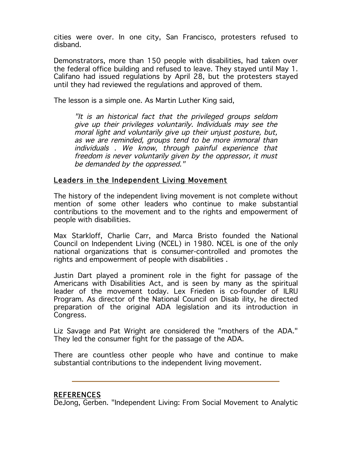cities were over. In one city, San Francisco, protesters refused to disband.

Demonstrators, more than 150 people with disabilities, had taken over the federal office building and refused to leave. They stayed until May 1. Califano had issued regulations by April 28, but the protesters stayed until they had reviewed the regulations and approved of them.

The lesson is a simple one. As Martin Luther King said,

"It is an historical fact that the privileged groups seldom give up their privileges voluntarily. Individuals may see the moral light and voluntarily give up their unjust posture, but, as we are reminded, groups tend to be more immoral than individuals . We know, through painful experience that freedom is never voluntarily given by the oppressor, it must be demanded by the oppressed."

#### Leaders in the Independent Living Movement

The history of the independent living movement is not complete without mention of some other leaders who continue to make substantial contributions to the movement and to the rights and empowerment of people with disabilities.

Max Starkloff, Charlie Carr, and Marca Bristo founded the National Council on Independent Living (NCEL) in 1980. NCEL is one of the only national organizations that is consumer-controlled and promotes the rights and empowerment of people with disabilities .

Justin Dart played a prominent role in the fight for passage of the Americans with Disabilities Act, and is seen by many as the spiritual leader of the movement today. Lex Frieden is co-founder of ILRU Program. As director of the National Council on Disab ility, he directed preparation of the original ADA legislation and its introduction in Congress.

Liz Savage and Pat Wright are considered the "mothers of the ADA." They led the consumer fight for the passage of the ADA.

There are countless other people who have and continue to make substantial contributions to the independent living movement.

#### REFERENCES

DeJong, Gerben. "Independent Living: From Social Movement to Analytic